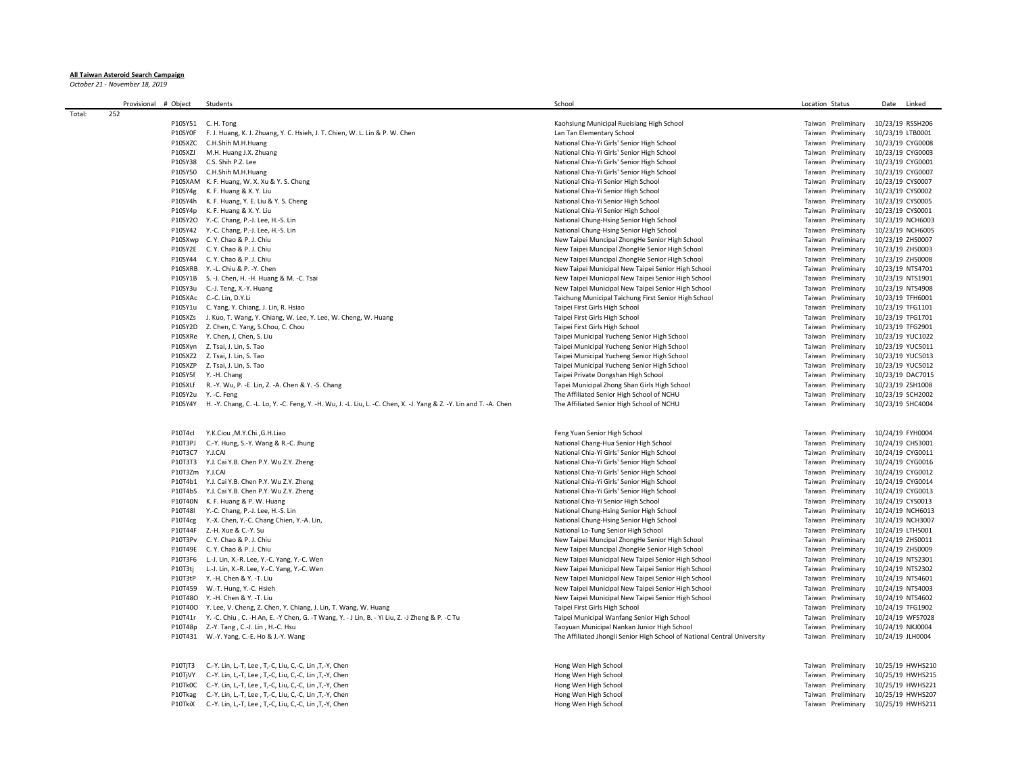## **All Taiwan Asteroid Search Campaign**

*October 21 - November 18, 2019*

|        | Provisional # Object | Students                                                                                                          | School                                                                   | Location Status                     | Date<br>Linked                      |
|--------|----------------------|-------------------------------------------------------------------------------------------------------------------|--------------------------------------------------------------------------|-------------------------------------|-------------------------------------|
| Total: | 252                  |                                                                                                                   |                                                                          |                                     |                                     |
|        |                      | P10SY51 C. H. Tong                                                                                                | Kaohsiung Municipal Rueisiang High School                                | Taiwan Preliminary                  | 10/23/19 RSSH206                    |
|        | P10SY0F              | F. J. Huang, K. J. Zhuang, Y. C. Hsieh, J. T. Chien, W. L. Lin & P. W. Chen                                       | Lan Tan Elementary School                                                | Taiwan Preliminary                  | 10/23/19 LTB0001                    |
|        |                      | P10SXZC C.H.Shih M.H.Huang                                                                                        | National Chia-Yi Girls' Senior High School                               | Taiwan Preliminary                  | 10/23/19 CYG0008                    |
|        |                      | P10SXZJ M.H. Huang J.X. Zhuang                                                                                    | National Chia-Yi Girls' Senior High School                               | Taiwan Preliminary                  | 10/23/19 CYG0003                    |
|        |                      | P10SY38 C.S. Shih P.Z. Lee                                                                                        | National Chia-Yi Girls' Senior High School                               | Taiwan Preliminary                  | 10/23/19 CYG0001                    |
|        |                      | P10SY50 C.H.Shih M.H.Huang                                                                                        | National Chia-Yi Girls' Senior High School                               | Taiwan Preliminary                  | 10/23/19 CYG0007                    |
|        |                      | P10SXAM K. F. Huang, W. X. Xu & Y. S. Cheng                                                                       | National Chia-Yi Senior High School                                      | Taiwan Preliminary                  | 10/23/19 CYS0007                    |
|        |                      | P10SY4g K. F. Huang & X. Y. Liu                                                                                   | National Chia-Yi Senior High School                                      | Taiwan Preliminary                  | 10/23/19 CYS0002                    |
|        |                      | P10SY4h K. F. Huang, Y. E. Liu & Y. S. Cheng                                                                      | National Chia-Yi Senior High School                                      | Taiwan Preliminary                  | 10/23/19 CYS0005                    |
|        |                      | P10SY4p K. F. Huang & X. Y. Liu                                                                                   | National Chia-Yi Senior High School                                      | Taiwan Preliminary                  | 10/23/19 CYS0001                    |
|        |                      |                                                                                                                   |                                                                          | Taiwan Preliminary                  |                                     |
|        |                      | P10SY2O Y.-C. Chang, P.-J. Lee, H.-S. Lin                                                                         | National Chung-Hsing Senior High School                                  |                                     | 10/23/19 NCH6003                    |
|        |                      | P10SY42 Y.-C. Chang, P.-J. Lee, H.-S. Lin                                                                         | National Chung-Hsing Senior High School                                  | Taiwan Preliminary                  | 10/23/19 NCH6005                    |
|        |                      | P10SXwp C.Y. Chao & P.J. Chiu                                                                                     | New Taipei Muncipal ZhongHe Senior High School                           | Taiwan Preliminary                  | 10/23/19 ZHS0007                    |
|        |                      | P10SY2E C.Y. Chao & P.J. Chiu                                                                                     | New Taipei Muncipal ZhongHe Senior High School                           | Taiwan Preliminary                  | 10/23/19 ZHS0003                    |
|        |                      | P10SY44 C.Y. Chao & P.J. Chiu                                                                                     | New Taipei Muncipal ZhongHe Senior High School                           | Taiwan Preliminary                  | 10/23/19 ZHS0008                    |
|        |                      | P10SXRB Y. - L. Chiu & P. - Y. Chen                                                                               | New Taipei Municipal New Taipei Senior High School                       | Taiwan Preliminary                  | 10/23/19 NTS4701                    |
|        |                      | P10SY1B S. -J. Chen, H. -H. Huang & M. -C. Tsai                                                                   | New Taipei Municipal New Taipei Senior High School                       | Taiwan Preliminary                  | 10/23/19 NTS1901                    |
|        |                      | P10SY3u C.-J. Teng, X.-Y. Huang                                                                                   | New Taipei Municipal New Taipei Senior High School                       | Taiwan Preliminary                  | 10/23/19 NTS4908                    |
|        |                      | P10SXAc C.-C. Lin, D.Y.Li                                                                                         | Taichung Municipal Taichung First Senior High School                     | Taiwan Preliminary                  | 10/23/19 TFH6001                    |
|        |                      | P10SY1u C. Yang, Y. Chiang, J. Lin, R. Hsiao                                                                      | Taipei First Girls High School                                           | Taiwan Preliminary                  | 10/23/19 TFG1101                    |
|        |                      | P10SXZs J. Kuo, T. Wang, Y. Chiang, W. Lee, Y. Lee, W. Cheng, W. Huang                                            | Taipei First Girls High School                                           | Taiwan Preliminary                  | 10/23/19 TFG1701                    |
|        |                      | P10SY2D Z. Chen, C. Yang, S.Chou, C. Chou                                                                         | Taipei First Girls High School                                           | Taiwan Preliminary                  | 10/23/19 TFG2901                    |
|        |                      | P10SXRe Y. Chen, J, Chen, S. Liu                                                                                  | Taipei Municipal Yucheng Senior High School                              | Taiwan Preliminary                  | 10/23/19 YUC1022                    |
|        |                      | P10SXyn Z. Tsai, J. Lin, S. Tao                                                                                   | Taipei Municipal Yucheng Senior High School                              | Taiwan Preliminary                  | 10/23/19 YUC5011                    |
|        |                      | P10SXZ2 Z. Tsai, J. Lin, S. Tao                                                                                   | Taipei Municipal Yucheng Senior High School                              | Taiwan Preliminary                  | 10/23/19 YUC5013                    |
|        |                      | P10SXZP Z. Tsai, J. Lin, S. Tao                                                                                   | Taipei Municipal Yucheng Senior High School                              | Taiwan Preliminary                  | 10/23/19 YUC5012                    |
|        |                      | P10SY5f Y. -H. Chang                                                                                              | Taipei Private Dongshan High School                                      | Taiwan Preliminary                  | 10/23/19 DAC7015                    |
|        |                      | P10SXLf R. -Y. Wu, P. -E. Lin, Z. -A. Chen & Y. -S. Chang                                                         | Tapei Municipal Zhong Shan Girls High School                             | Taiwan Preliminary                  | 10/23/19 ZSH1008                    |
|        |                      | P10SY2u Y. - C. Feng                                                                                              | The Affiliated Senior High School of NCHU                                | Taiwan Preliminary                  | 10/23/19 SCH2002                    |
|        |                      | P10SY4Y H.-Y. Chang, C.-L. Lo, Y.-C. Feng, Y.-H. Wu, J.-L. Liu, L.-C. Chen, X.-J. Yang & Z.-Y. Lin and T.-A. Chen | The Affiliated Senior High School of NCHU                                | Taiwan Preliminary 10/23/19 SHC4004 |                                     |
|        |                      |                                                                                                                   |                                                                          |                                     |                                     |
|        | P10T4cl              | Y.K.Ciou ,M.Y.Chi ,G.H.Liao                                                                                       | Feng Yuan Senior High School                                             | Taiwan Preliminary 10/24/19 FYH0004 |                                     |
|        | P10T3PJ              | C.-Y. Hung, S.-Y. Wang & R.-C. Jhung                                                                              | National Chang-Hua Senior High School                                    | Taiwan Preliminary                  | 10/24/19 CHS3001                    |
|        |                      | P10T3C7 Y.J.CAI                                                                                                   | National Chia-Yi Girls' Senior High School                               | Taiwan Preliminary                  | 10/24/19 CYG0011                    |
|        |                      | P10T3T3 Y.J. Cai Y.B. Chen P.Y. Wu Z.Y. Zheng                                                                     | National Chia-Yi Girls' Senior High School                               | Taiwan Preliminary                  | 10/24/19 CYG0016                    |
|        |                      | P10T3Zm Y.J.CAI                                                                                                   | National Chia-Yi Girls' Senior High School                               | Taiwan Preliminary                  | 10/24/19 CYG0012                    |
|        |                      | P10T4b1 Y.J. Cai Y.B. Chen P.Y. Wu Z.Y. Zheng                                                                     | National Chia-Yi Girls' Senior High School                               | Taiwan Preliminary                  | 10/24/19 CYG0014                    |
|        |                      | P10T4bS Y.J. Cai Y.B. Chen P.Y. Wu Z.Y. Zheng                                                                     | National Chia-Yi Girls' Senior High School                               | Taiwan Preliminary                  | 10/24/19 CYG0013                    |
|        |                      | P10T40N K. F. Huang & P. W. Huang                                                                                 | National Chia-Yi Senior High School                                      | Taiwan Preliminary                  |                                     |
|        |                      |                                                                                                                   |                                                                          |                                     | 10/24/19 CYS0013                    |
|        |                      | P10T48l Y.-C. Chang, P.-J. Lee, H.-S. Lin                                                                         | National Chung-Hsing Senior High School                                  | Taiwan Preliminary                  | 10/24/19 NCH6013                    |
|        |                      | P10T4cg Y.-X. Chen, Y.-C. Chang Chien, Y.-A. Lin,                                                                 | National Chung-Hsing Senior High School                                  | Taiwan Preliminary                  | 10/24/19 NCH3007                    |
|        |                      | P10T44F Z.-H. Xue & C.-Y. Su                                                                                      | National Lo-Tung Senior High School                                      | Taiwan Preliminary                  | 10/24/19 LTH5001                    |
|        |                      | P10T3Pv C.Y. Chao & P.J. Chiu                                                                                     | New Taipei Muncipal ZhongHe Senior High School                           | Taiwan Preliminary                  | 10/24/19 ZHS0011                    |
|        |                      | P10T49E C. Y. Chao & P. J. Chiu                                                                                   | New Taipei Muncipal ZhongHe Senior High School                           | Taiwan Preliminary                  | 10/24/19 ZHS0009                    |
|        |                      | P10T3F6 L.-J. Lin, X.-R. Lee, Y.-C. Yang, Y.-C. Wen                                                               | New Taipei Municipal New Taipei Senior High School                       | Taiwan Preliminary                  | 10/24/19 NTS2301                    |
|        | P10T3tj              | L.-J. Lin, X.-R. Lee, Y.-C. Yang, Y.-C. Wen                                                                       | New Taipei Municipal New Taipei Senior High School                       | Taiwan Preliminary                  | 10/24/19 NTS2302                    |
|        |                      | P10T3tP Y. -H. Chen & Y. -T. Liu                                                                                  | New Taipei Municipal New Taipei Senior High School                       | Taiwan Preliminary                  | 10/24/19 NTS4601                    |
|        |                      | P10T459 W.-T. Hung, Y.-C. Hsieh                                                                                   | New Taipei Municipal New Taipei Senior High School                       | Taiwan Preliminary                  | 10/24/19 NTS4003                    |
|        |                      | P10T48O Y. - H. Chen & Y. - T. Liu                                                                                | New Taipei Municipal New Taipei Senior High School                       | Taiwan Preliminary                  | 10/24/19 NTS4602                    |
|        |                      | P10T40O Y. Lee, V. Cheng, Z. Chen, Y. Chiang, J. Lin, T. Wang, W. Huang                                           | Taipei First Girls High School                                           | Taiwan Preliminary                  | 10/24/19 TFG1902                    |
|        |                      | P10T41r Y. -C. Chiu, C. -H An, E. -Y Chen, G. -T Wang, Y. -J Lin, B. - Yi Liu, Z. -J Zheng & P. -C Tu             | Taipei Municipal Wanfang Senior High School                              | Taiwan Preliminary                  | 10/24/19 WFS7028                    |
|        |                      | P10T48p Z.-Y. Tang, C.-J. Lin, H.-C. Hsu                                                                          | Taoyuan Municipal Nankan Junior High School                              | Taiwan Preliminary                  | 10/24/19 NKJ0004                    |
|        |                      | P10T431 W.-Y. Yang, C.-E. Ho & J.-Y. Wang                                                                         | The Affiliated Jhongli Senior High School of National Central University | Taiwan Preliminary                  | 10/24/19 JLH0004                    |
|        |                      |                                                                                                                   |                                                                          |                                     |                                     |
|        |                      | P10TjT3 C.-Y. Lin, L,-T, Lee, T,-C, Liu, C,-C, Lin, T,-Y, Chen                                                    | Hong Wen High School                                                     | Taiwan Preliminary                  | 10/25/19 HWHS210                    |
|        |                      | P10TjVY C.-Y. Lin, L,-T, Lee, T,-C, Liu, C,-C, Lin, T,-Y, Chen                                                    | Hong Wen High School                                                     | Taiwan Preliminary                  | 10/25/19 HWHS215                    |
|        |                      | P10Tk0C C.-Y. Lin, L,-T, Lee, T,-C, Liu, C,-C, Lin, T,-Y, Chen                                                    | Hong Wen High School                                                     | Taiwan Preliminary                  | 10/25/19 HWHS221                    |
|        |                      | P10Tkag C.-Y. Lin, L,-T, Lee, T,-C, Liu, C,-C, Lin, T,-Y, Chen                                                    | Hong Wen High School                                                     | Taiwan Preliminary                  | 10/25/19 HWHS207                    |
|        |                      | P10TkiX C.-Y. Lin, L,-T, Lee, T,-C, Liu, C,-C, Lin, T,-Y, Chen                                                    | Hong Wen High School                                                     |                                     | Taiwan Preliminary 10/25/19 HWHS211 |
|        |                      |                                                                                                                   |                                                                          |                                     |                                     |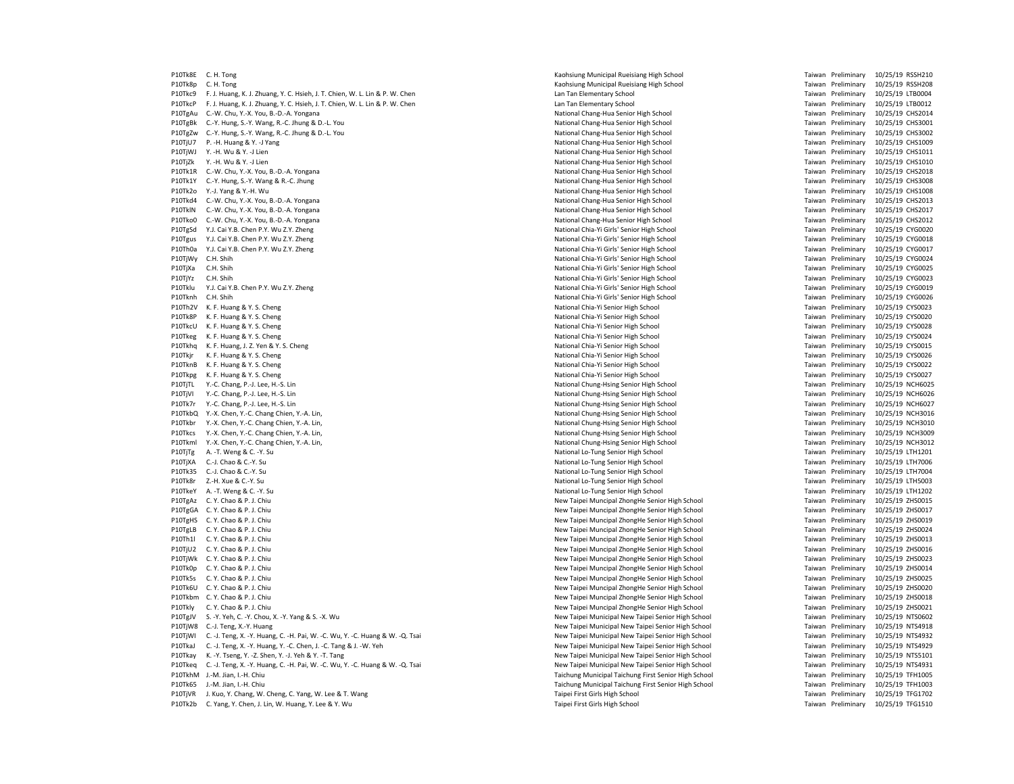P10Tk8E C. H. Tong Municipal Rueisiang High School C. H. Tong Taiwan Preliminary 10/25/19 RSSH210<br>P10Tk8p C. H. Tong Municipal Rueisiang High School Taiwan Preliminary 10/25/19 RSSH208 P10Tk8p C. H. Tong Kaohsiung Municipal Rueisiang High School Taiwan Preliminary 10/25/19 RSSH208 P10Tkc9 F. J. Huang, K. J. Zhuang, Y. C. Hsieh, J. T. Chien, W. L. Lin & P. W. Chen Lan Taiwan Preliminary 100004 LTB0004 LTB0004 LTB0004 LTB1Wan Preliminary 10/25/19 LTB0004 P10TkcP F. J. Huang, K. J. Zhuang, Y. C. Hsieh, J. T. Chien, W. L. Lin & P. W. Chen Lan Tan Lan Tan Elementary School Lan Tan Elementary School Taiwan Preliminary 10/25/19 LTB0012 P10TgAu C.-W. Chu, Y.-X. You, B.-D.-A. Yongana National National Chang-Hua Senior High School National Chang-Hua Senior High School Taiwan Preliminary 10/25/19 CHS2014 P10TgBk C.-Y. Hung, S.-Y. Wang, R.-C. Jhung & D.-L. You National Chang-Hua Senior High School National Chang-Hua Senior High School Taiwan Preliminary 10/25/19 CHS3001 P10TgZw C.-Y. Hung, S.-Y. Wang, R.-C. Jhung & D.-L. You National Chang-Hua Senior High School National Chang-Hua Senior High School Taiwan Preliminary 10/25/19 CHS3002 P10TjU7 P. -H. Huang & Y. -J Yang National Chang-Hua Senior High School Taiwan Preliminary 10/25/19 CHS1009 P10TjWJ Y.-H. Wu & Y. -J Lien مستر المستر المستر المستر المستر المستر المستر المستر المستر المستر المستر المستر<br>10/25/19 P10TjZk Y.-H. Wu & Y. -J Lien مستر المستر المستر المستر المستر المستر المستر المستر المستر المستر ال P10Tk1R C.-W. Chu, Y.-X. You, B.-D.-A. Yongana National Chang-Hua Senior High School National Chang-Hua Senior High School National Chang-Hua Senior High School Taiwan Preliminary 10/25/19 CHS2018<br>P10Tk1Y C.-Y. Hung. S.-Y. P10Tk1Y C.-Y. Hung, S.-Y. Wang & R.-C. Jhung National Chang-Hua Senior High School Taiwan Preliminary 100-25-1<br>P10Tk2o Y.-I. Yang & Y.-H. Wu P10Tkd4 C.-W. Chu, Y.-X. You, B.-D.-A. Yongana National Chang-Hua Senior High School National Chang-Hua Senior High School Taiwan Preliminary 10/25/19 CHS2013 P10TklN C.-W. Chu, Y.-X. You, B.-D.-A. Yongana National Chang-Hua Senior High School National Chang-Hua Senior High School Taiwan Preliminary 10/25/19 CHS2017 P10Tko0 C.-W. Chu, Y.-X. You, B.-D.-A. Yongana National Chang-Hua Senior High School Taiwan Preliminary 10/25/19 CHS2012 P10TgSd Y.J. Cai Y.B. Chen P.Y. Wu Z.Y. Zheng National Chia-Yi Girls' Senior High School National Chia-Yi Girls' Senior High School Taiwan Preliminary 10/25/19 CYG0020 P10Tgus Y.J. Cai Y.B. Chen P.Y. Wu Z.Y. Zheng National Chia-Yi Girls' Senior High School National Chia-Yi Girls' Senior High School Taiwan Preliminary 10/25/19 CYG0018 P10Th0a Y.J. Cai Y.B. Chen P.Y. Wu Z.Y. Zheng National Chia-Yi Girls' Senior High School National Chia-Yi Girls' Senior High School National Chia-Yi Girls' Senior High School Taiwan Preliminary 10/25/19 CYG0017 P10TjWy C.H. Shih National Chia-Yi Girls' Senior High School National Chia-Yi Girls' Senior High School Taiwan Preliminary 10/25/19 CYG0024 P10TjXa C.H. Shih National Chia-Yi Girls' Senior High School National Chia-Yi Girls' Senior High School National Chia-Yi Girls' Senior High School National Chia-Yi Girls' Senior High School Taiwan Preliminary 10/25/19 CYG0 P10TjYz C.H. Shih المسترد المسترد و المسترد و المسترد المسترد و المسترد و المسترد و المسترد و المسترد و المستر<br>المسترد المسترد المسترد المسترد المسترد المسترد المسترد المسترد المسترد المسترد المسترد المسترد المسترد المستر Y.J. Cai Y.B. Chen P.Y. Wu Z.Y. Zheng P10Tknh C.H. Shih National Chia-Yi Girls' Senior High School National Chia-Yi Girls' Senior High School National Chia-Yi Girls' Senior High School Taiwan Preliminary 10/25/19 CYG0026<br>P10Th3V K E Huang & V S Cheng National P10Th2V K. F. Huang & Y. S. Cheng National Chia-Yi Senior High School Taiwan Preliminary 10/25/19 CYS0023 P10Tk8P K. F. Huang & Y. S. Cheng National Chia-Yi Senior High School National Chia-Yi Senior High School National Chia-Yi Senior High School Taiwan Preliminary 10/25/19 CYS0020 P10TkcU K. F. Huang & Y. S. Cheng CYSOO28 CYSOO28 National Chia-Yi Senior High School National Chia-Yi Senior High School Taiwan Preliminary 10/25/19 CYSOO28 P10Tkeg K. F. Huang & Y. S. Cheng National Chia-Yi Senior High School National Chia-Yi Senior High School National Chia-Yi Senior High School Taiwan Preliminary 10/25/19 CYS0024 P10Tkhq K. F. Huang, J. Z. Yen & Y. S. Cheng National Chia-Yi Senior High School National Chia-Yi Senior High School National Chia-Yi Senior High School National Chia-Yi Senior High School Taiwan Preliminary 10/25/19 CYS00 P10Tkjr K. F. Huang & Y. S. Cheng National Chia-Yi Senior High School National Chia-Yi Senior High School Taiwan Preliminary 10/25/19 CYS0026 P10TknB K. F. Huang & Y. S. Cheng National Chia-Yi Senior High School National Chia-Yi Senior High School National Chia-Yi Senior High School Taiwan Preliminary 10/25/19 CYS0022 P10Tkpg K. F. Huang & Y. S. Cheng National Chia-Yi Senior High School National Chia-Yi Senior High School Taiwan Preliminary 10/25/19 CYS0027 P10TjTL Y.-C. Chang, P.-J. Lee, H.-S. Lin Chang and Chung-Hsing Senior High School Figh School Taiwan Preliminary 10/25/19 NCH6025 (1992) 19 National Chung-Hsing Senior High School Taiwan Preliminary 10/25/19 NCH6026 (1992 P10Tk7r Y.-C. Chang, P.-J. Lee, H.-S. Lin National Chung-Hsing Senior High School Taiwan Preliminary 10/25/19 NCH6027<br>P10TkbO Y.-X. Chen, Y.-C. Chang Chien, Y.-A. Lin. National Chung-Hsing Senior High School Taiwan Prelimi P10TkbQ Y.-X. Chen, Y.-C. Chang Chien, Y.-A. Lin, National Chung-Hsing Senior High School Figh School Taiwan Preliminary 10/25/19 NCH3016<br>National Chung-Hsing School Taiwan Preliminary 10/25/19 NCH3010 P10Tkbr Y.-X. Chen, Y.-C. Chang Chien, Y.-A. Lin, P10Tkcs Y.-X. Chen, Y.-C. Chang Chien, Y.-A. Lin, National Chung-Hsing Senior High School Taiwan Preliminary 10/25/19 NCH3009 P10Tkml Y.-X. Chen, Y.-C. Chang Chien, Y.-A. Lin, National Chung-Hsing Senior High School National Chung-Hsing Senior High School Taiwan Preliminary 10/25/19 NCH3012 P10TjTg A. -T. Weng & C. -Y. Su Case Superinary 10/25/19 LTH1201 P10TjXA C.-J. Chao & C.-Y. Su Case Control Control Control Control Control Control Control Control Control Control Control National Lo-Tung Senior High School Taiwan Preliminary 10/25/19 LTH7006 P10Tk35 C.-J. Chao & C.-Y. Su Case Compared to the School Case of Mational Lo-Tung Senior High School Taiwan Preliminary 10/25/19 LTH7004 P10Tk8r Z.-H. Xue & C.-Y. Su Case Controlled a material controlled a material controlled a material controlled a material controlled a material controlled a material controlled a material controlled a material controlled a P10TkeY A. -T. Weng & C. -Y. Su National Lo-Tung Senior High School Taiwan Preliminary 10/25/19 LTH1202 P10TgAz C. Y. Chao & P. J. Chiu New Taipei Muncipal ZhongHe Senior High School Taiwan Preliminary 10/25/19 ZHS0015<br>P10TgGA C Y Chao & P L Chiu New Taipei Muncipal ZhongHe Senior High School Taiwan Preliminary 10/25/19 ZHS0 P10TgGA C. Y. Chao & P. J. Chiu New Taipei Muncipal ZhongHe Senior High School Taiwan Preliminary 10/25/19 ZHS0017<br>P10TeHS C. Y. Chao & P. J. Chiu New Taipei Muncipal ZhongHe Senior High School Taiwan Preliminary 10/25/19 P10TgLB C. Y. Chao & P. J. Chiu New Taipei Muncipal ZhongHe Senior High School Taiwan Preliminary 10/25/19 ZHS0024<br>P10Th1l C. Y. Chao & P. J. Chiu New Taipei Muncipal ZhongHe Senior High School Taiwan Preliminary 10/25/19 P10Th1l C. Y. Chao & P. J. Chiu New Taipei Muncipal ZhongHe Senior High School Taiwan Preliminary 10: New Taipei Muncipal ZhongHe Senior High School Taiwan Preliminary 10: New Taipei Muncipal ZhongHe Senior High School 3. P10TjWk C. Y. Chao & P. J. Chiu New Taipei Muncipal ZhongHe Senior High School Taiwan Preliminary 10/25/19 ZHS0023 P10Tk0p C. Y. Chao & P. J. Chiu New Taipei Muncipal ZhongHe Senior High School Taiwan Preliminary 10/25/19 ZHS0014 P10Tk5s C. Y. Chao & P. J. Chiu New Taipei Muncipal ZhongHe Senior High School Taiwan Preliminary 10/25/19 ZHS0025 P10Tk6U C. Y. Chao & P. J. Chiu New Taipei Muncipal ZhongHe Senior High School Taiwan Preliminary 10/25/19 ZHS0020 P10Tkbm C. Y. Chao & P. J. Chiu New Taipei Muncipal ZhongHe Senior High School Taiwan Preliminary 10/25/19 ZHS0018 P10Tkly C. Y. Chao & P. J. Chiu New Taipei Muncipal Zhong He Senior High School Taiwan Preliminary 10/25/19 ZHS0021 P10TgJV S. -Y. Yeh, C. -Y. Chou, X. -Y. Yang & S. -X. Wu New Taipei Municipal New Taipei Municipal New Taipei Senior High School Taiwan Preliminary 10/25/19 NTS0602<br>P10TjW8 C.-J. Teng, X.-Y. Huang 10/25/19 NTS4918 P10TjWI C. -J. Teng, X. -Y. Huang, C. -H. Pai, W. -C. Wu, Y. -C. Huang & W. -Q. Tsai New Taipei Municipal New Taipei Municipal New Taipei Senior High School New Taipei Taiwan Preliminary 10/25/19 NTS4938<br>P10Tkal C. -L. Te P10TkaJ C. -J. Teng, X. -Y. Huang, Y. -C. Chen, J. -C. Tang & J. -W. Yeh New Taipei Municipal New Taipei Municipal New Taipei Senior High School New Taipei Senior High School Taiwan Preliminary 10/25/19 NTS4929<br>P10Tkay K. P10Tkay K. -Y. Tseng, Y. -Z. Shen, Y. -J. Yeh & Y. -T. Tang New Taipei Municipal New Taipei Municipal New Taipei Senior High School Taiwan Preliminary 10/25/19 NTS5101<br>P10Tkan C st Tang Y ay Huang C at Pai M ac C Mu Y ac H P10Tkeq C. -J. Teng, X. -Y. Huang, C. -H. Pai, W. -C. Wu, Y. -C. Huang & W. -Q. Tsai New Taimel Comment of New Taipei Municipal New Taipei Senior High School Taichung Taichung Inchung Inchung Inchung Inchung Inchung Inchun P10Tk65 J.-M. Jian, I.-H. Chiu Taichung Municipal Taichung First Senior High School Taiwan Preliminary 10/25/19 TFH1003 P10TjVR J. Kuo, Y. Chang, W. Cheng, C. Yang, W. Lee & T. Wang Taipei First Girls High School Taipei First Girls High School Taiwan Preliminary 10/25/19 TFG1702 P10Tk2b C. Yang, Y. Chen, J. Lin, W. Huang, Y. Lee & Y. Wu Taiwan Preliminary 10/25/19 TFG1510

P10TiOnal Chang-Hua Senior High School Chang-Hua School Chang-Hua School Chang-Hua Senior High School Chang-Hua<br>Preliminary 10/25/19 CHS2018 Chang-Hua School Chang-Hua School Taiwan Preliminary 10/25/19 CHS2018 New Taipei Muncipal ZhongHe Senior High School New Taipei Muncipal ZhongHe Senior High School Taiwan Preliminary 10/25/19 ZHS0016 P10TimB10Tjw8 C.-J. Teng, Y.-J. Teng, Y.-J. Teng, Y.-J. Taiwan Preliminary 10/25/19 NTS4918<br>19 New Taipei Municipal New Taipei Senior High School Taiwan Preliminary 10/25/19 NTS4932 Paichung Municipal Taichung First Senior High School Taiwan Preliminary 10/25/19 TFH1005

Taiwan Preliminary 10/25/19 CHS1008 Taiwan Preliminary 10/25/19 NCH6026<br>Taiwan Preliminary 10/25/19 NCH6027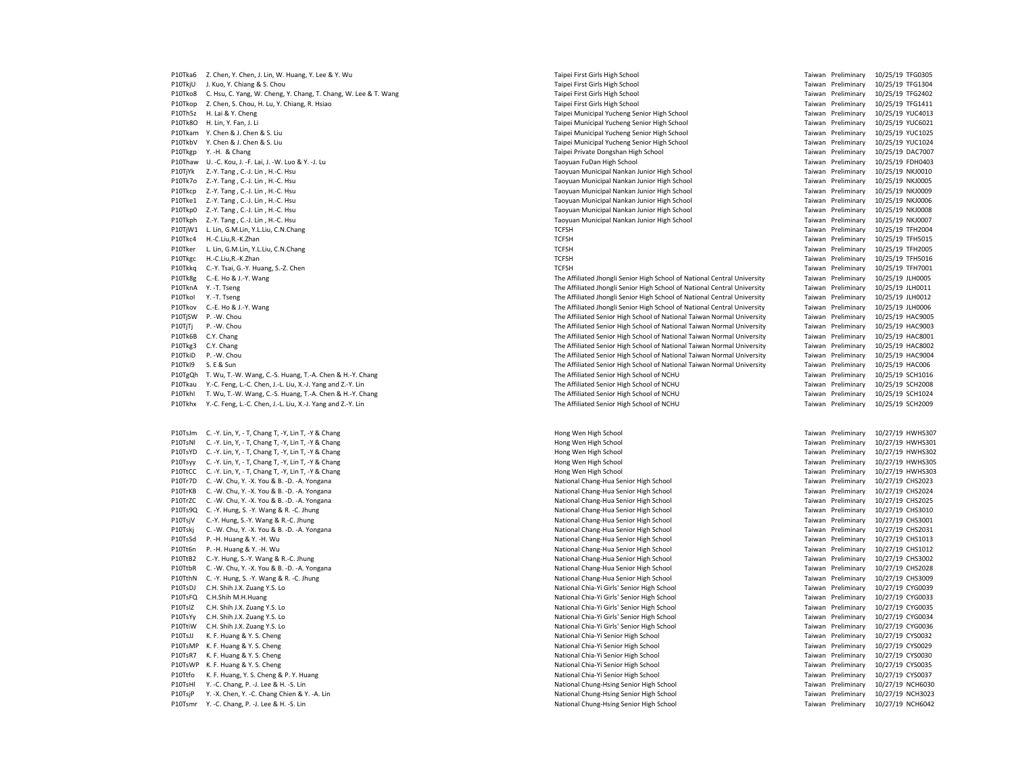P10Tka6 Z. Chen, Y. Chen, J. Lin, W. Huang, Y. Lee & Y. Wu Same Manusculine School Taipei First Girls High School Taipei First Girls High School Taipei First Girls High School Taipei First Girls High School Taiwan Prelimi P10TkjU J. Kuo, Y. Chiang & S. Chou Christ Girls High School Taipei First Girls High School Taiwan Preliminary 10/25/19 TFG1304 P10Tko8 C. Hsu, C. Yang, W. Cheng, Y. Chang, T. Chang, W. Lee & T. Wang Taipei First Girls High School Taipei First Girls High School Taiwan Preliminary 10/25/19 TFG2402 P10Tkop Z. Chen, S. Chou, H. Lu, Y. Chiang, R. Hsiao Taipei First Girls High School Taipei First Girls High School Taiwan Preliminary 10/25/19 TFG1411 P10Th5z H. Lai & Y. Cheng Taipei Municipal Yucheng Senior High School Taiwan Preliminary 10/25/19 YUC4013 P10Tk8O H. Lin, Y. Fan, J. Li **Taiwan Lind, A. Lind, Y. Fan, J. Lind, A. Lind, A. Lind, A. Lind, A. Lind, A. Lind, A. Lind, A. Lind, A. Lind, A. Lind, A. Lind, A. Lind, A. Lind, A. Lind, A. Lind, A. Lind, A. Lind, A. Lind,** P10Tkam Y. Chen & J. Chen & S. Liu Chen & S. Liu Chen and School Taiwan Preliminary 10/25/19 YUC1025 P10TkbV Y. Chen & J. Chen & S. Liu Chen Bunicipal Yucheng Senior High School Taipei Municipal Yucheng Senior High School Taiwan Preliminary 10/25/19 YUC1024 P10Tkgp Y.-H. & Chang 10/25/19 DAC7007<br>P10Thaw U.-C. Kou, J.-F. Lai, J.-W. Luo & Y.-J. Lu entry the state of the School Taiwan Preliminary 10/25/19 DAC7007<br>P10Thaw U.-C. Kou, J.-F. Lai, J.-W. Luo & Y.-J. Lu entry the Schoo P10Thaw U. -C. Kou, J. -F. Lai, J. -W. Luo & Y. -J. Lu Taoyuan FuDan High School Taiwan Preliminary 10/25/19 FDH0403 P10TjYk Z.-Y. Tang , C.-J. Lin , H.-C. Hsu Municipal Nankan Junior High School Taiwan Preliminary 10/25/19 NKJ0010<br>P10Tk7o Z.-Y. Tang , C.-L. Lin , H.-C. Hsu Municipal Nankan Junior High School Taiwan Preliminary 10/25/19 P10Tkcp Z.-Y. Tang, C.-J. Lin, H.-C. Hsu P10Tke1 Z.-Y. Tang , C.-J. Lin , H.-C. Hsu Taoyuan Municipal Nankan Junior High School Taiwan Preliminary 10/25/19 NKJ0006 P10Tkp0 Z.-Y. Tang , C.-J. Lin , H.-C. Hsu Taoyuan Municipal Nankan Junior High School Taiwan Preliminary 10/25/19 NKJ0008 P10Tkph Z.-Y. Tang , C.-J. Lin , H.-C. Hsu Taoyuan Municipal Nankan Junior High School Taiwan Preliminary 10/25/19 NKJ0007 P10TjW1 L. Lin, G.M.Lin, Y. L.Liu, C.N.Chang Chang Test and the State of Test and TCFSH Taiwan Preliminary 10/25/19 TFH2004 P10Tkc4 H.-C.Liu,R.-K.Zhan 20/25/19 TFH5015 November 2012 10/25/19 Terms and the TCFSH Taiwan Preliminary 20/25/19 TFH5015 P10Tker L. Lin, G.M.Lin, Y.L.Liu, C.N.Chang CHE Samuel Compared the State of TCFSH Taiwan Preliminary 10/25/19 TFH2005 P10Tkgc H.-C.Liu,R.-K.Zhan TCFSH Taiwan Preliminary 10/25/19 TFH5016 P10Tkkq C.-Y. Tsai, G.-Y. Huang, S.-Z. Chen Statem Statem Statem Statem Statem Statem Taiwan Preliminary 10/25/19 TFH7001<br>P10Tk8g C.-E. Ho & J.-Y. Wang 10/25/19 JLH0005 (P101005 Statem Statem Taiwan Preliminary 10/25/19 JL P10Tk8g C.-E. Ho & J.-Y. Wang example and the School of National Central University (Taiwan Preliminary 10/25/19 JLH0005<br>Photography of The Affiliated Ihongli Senior High School of National Central University (Taiwan Preli P10Tkol Y.-T. Tseng 10/25/19 JLH0012<br>P10Tkov C-F-Ho-& L-V-Wang 2002/19 JLH0012<br>Philipped Taiwan Preliminary 10/25/19 JLH0006 The Affiliated Ihongli Senior High School of National Central University Taiwan Preliminary 10/25 P10Tkov C.-E. Ho & J.-Y. Wang external University Cameral Central University The Affiliated Jhongli Senior High School of National Central University The Affiliated Senior High School of National Taiwan Normal University T P10TjTj P. -W. Chou Chou The Affiliated Senior High School of National Taiwan Normal University Taiwan Preliminary 10/25/19 HAC9003 P10Tk6B C.Y. Chang The Affiliated Senior High School of National Taiwan Normal University Taiwan Preliminary 10/25/19 HAC8001 P10Tkg3 C.Y. Chang The Affiliated Senior High School of National Taiwan Normal University Taiwan Preliminary 10/25/19 HAC8002 P10TkiD P. -W. Chou The Affiliated Senior High School of National Taiwan Normal University Taiwan Preliminary 10/25/19 HAC9004 P10Tkl9 S. E & Sun The Affiliated Senior High School of National Taiwan Normal University Taiwan Preliminary 10/25/19 HAC006 P10TgQh T. Wu, T.-W. Wang, C.-S. Huang, T.-A. Chen & H.-Y. Chang The Affiliated Senior High School of NCHU Taiwan Preliminary 10/25/19 SCH1016 P10Tkau Y.-C. Feng, L.-C. Chen, J.-L. Liu, X.-J. Yang and Z.-Y. Lin The Affiliated Senior High School of NCHU Taiwan Preliminary 10/25/19 SCH2008<br>P10Tkhl T. Wu, T.-W. Wang, C.-S. Huang, T.-A. Chen & H.-Y. Chang School Scho P10TkhI T. Wu, T.-W. Wang, C.-S. Huang, T.-A. Chen & H.-Y. Chang The Affiliated Senior High School of NCHU Taiwan Preliminary 10/25/19 SCH1024<br>The Affiliated Senior High School of NCHU Taiwan Preliminary 10/25/19 SCH2009<br>P P10Tkhx Y.-C. Feng, L.-C. Chen, J.-L. Liu, X.-J. Yang and Z.-Y. Lin P10TsJm C. -Y. Lin, Y, -T, Chang T, -Y, Lin T, -Y & Chang extending the state of the state of the state of the Hong Wen High School Hong Wen High School Taiwan Preliminary 10/27/19 HWHS307 P10TsNl C. -Y. Lin, Y, - T, Chang T, -Y, Lin T, -Y & Chang Hong Wen High School Taiwan Preliminary 10/27/19 HWHS301 P10TsYD C. -Y. Lin, Y, -T, Chang T, -Y, Lin T, -Y & Chang Hong Wen High School Hong Wen High School Faiwan Preliminary 10/27/19 HWHS302 P10Tsyy C. -Y. Lin, Y, -T, Chang T, -Y, Lin T, -Y & Chang extending the state of the state of the state of the Hong Wen High School Hong Wen High School Taiwan Preliminary 10/27/19 HWHS305 P10TtCC C. -Y. Lin, Y, -T, Chang T, -Y, Lin T, -Y & Chang extending the state of the state of the state of the Hong Wen High School Hong Wen High School Taiwan Preliminary 10/27/19 HWHS303 P10Tr7D C. W. Chu, Y. -X. You & B. -D. -A. Yongana National Chang-Hua Senior High School Taiwan Preliminary 10/27/19 CHS2023 P10TrKB C. -W. Chu, Y. -X. You & B. -D. -A. Yongana National Chang-Hua Senior High School National Chang-Hua Senior High School Taiwan Preliminary 10/27/19 CHS2024 P10TrZC C. W. Chu, Y. -X. You & B. -D. -A. Yongana National Chang-Hua Senior High School National Chang-Hua Senior High School National Chang-Hua Senior High School Taiwan Preliminary 10/27/19 CHS2025 (High School Priminar P10TsjV C.-Y. Hung, S.-Y. Wang & R.-C. Jhung P10Tskj C. -W. Chu, Y. -X. You & B. -D. -A. Yongana National Chang-Hua Senior High School National Chang-Hua Senior High School Taiwan Preliminary 10/27/19 CHS2031 موسى التي تم المستقبل المستقبل التي يتم المستقبل المستقبل P10TsSd P. -H. Huang & Y. -H. Wu<br>P10Tt6n P. -H. Huang & Y. -H. Wu P10TtB2 C.-Y. Hung, S.-Y. Wang & R.-C. Jhung Mational Chang-Hua Senior High School National Chang-Hua Senior High School Taiwan Preliminary 10/27/19 CHS3002 P10TtbR C. -W. Chu, Y. -X. You & B. -D. -A. Yongana National Chang-Hua Senior High School National Chang-Hua Senior High School Taiwan Preliminary 10/27/19 CHS2028 P10TthN C. -Y. Hung, S. -Y. Wang & R. -C. Jhung National Chang-Hua Senior High School National Chang-Hua Senior High School Taiwan Preliminary 10/27/19 CHS3009 P10TsDJ C.H. Shih J.X. Zuang Y.S. Lo National Chia-Yi Girls' Senior High School Taiwan Preliminary 10/27/19 CYG0039 P10TsFQ C.H.Shih M.H.Huang 10/27/19 CYG0033 National Chia-Yi Girls' Senior High School National Chia-Yi Girls' Senior High School Taiwan Preliminary 10/27/19 CYG0033 P10TslZ C.H. Shih J.X. Zuang Y.S. Lo National Chia-Yi Girls' Senior High School Taiwan Preliminary 10/27/19 CYG0035 P10TsYy C.H. Shih J.X. Zuang Y.S. Lo National Chia-Yi Girls' Senior High School National Chia-Yi Girls' Senior High School National Chia-Yi Girls' Senior High School Taiwan Preliminary 10/27/19 CYG0036<br>P10TtiW C.H. Shih J. P10TsJJ K. F. Huang & Y. S. Cheng<br>P10TsMP K. F. Huang & Y. S. Cheng National Chia-Yi Senior High School Taiwan Preliminary 10: National Chia-Yi Senior High School P10TsMP K.F. Huang & Y.S. Cheng مستراح المستراحي المستراحية المستراحية والمستراحية المستراحية المستراحية والمستر<br>1917-19 P10TsR7 K.F. Huang & Y.S. Cheng مستراحية المستراحية المستراحية المستراحية المستراحية المستراحية المس P10TsWP K. F. Huang & Y. S. Cheng National Chia-Yi Senior High School Taiwan Preliminary 10/27/27/27/27/27/27/27 P10Ttfo K. F. Huang, Y. S. Cheng & P. Y. Huang National Chia-Yi Senior High School National Chia-Yi Senior High School Taiwan Preliminary 10/27/19 CYS0037 P10TsHl Y. -C. Chang, P. -J. Lee & H. -S. Lin National Chung-Hsing Senior High School Taiwan Preliminary 10/27/19 NCH6030 P10TsiP Y. -X. Chen, Y. -C. Chang Chien & Y. -A. Lin National Chung-Hsing Senior High School Taiwan Preliminary 10/27/19 NCH3023 P10Tsmr Y.-C. Chang, P.-J. Lee & H.-S. Lin National Chung-Hsing Senior High School Taiwan Preliminary 10/27/19 NCH6042

Paoyuan Municipal Nankan Junior High School **Communicipal Communicipal Communicipal Communicipal August 2016**<br>Provuan Municipal Nankan Junior High School Taiwan Taiwan Preliminary 10/25/19 NKJ0009 The Affiliated Jhongli Senior High School of National Central University The Affiliated Senior High School of National Taiwan Normal University Taiwan Preliminary 10/25/19 HAC9005 P10Ts9Q Chang-Hua Senior High School Chang Mathematic Changer Changer Changer Changer Changer Changer Chang-Hu<br>P20Ts9001 National Chang-Hua Senior High School Changer Changer Changer Changer Taiwan Preliminary 10/27/19 CHS Philomal Chang-Hua Senior High School **National Changes** Taiwan Preliminary 10/27/19 CHS1012 P10ThiM Chia-Yi Girls' Senior High School School Chia-Yi Girlstone Taiwan Preliminary 10/27/19 CYG0036<br>19 National Chia-Yi Senior High School Taiwan Preliminary 10/27/19 CYS0032

Taiwan Preliminary 10/27/19 CYS0030<br>Taiwan Preliminary 10/27/19 CYS0035